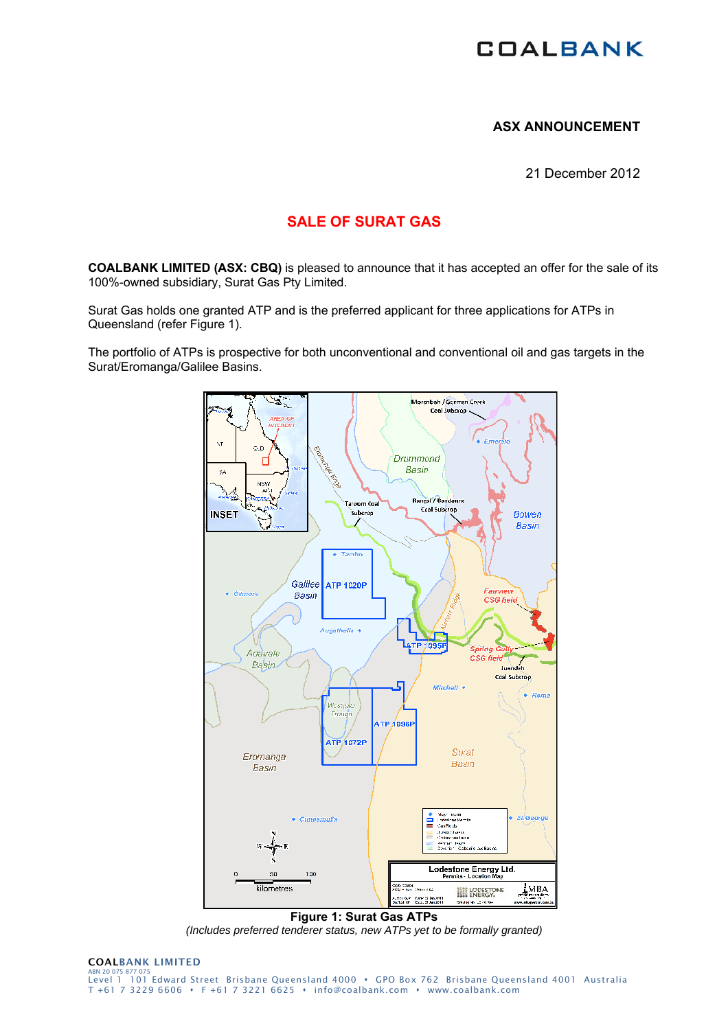# **COALBANK**

### **ASX ANNOUNCEMENT**

21 December 2012

## **SALE OF SURAT GAS**

**COALBANK LIMITED (ASX: CBQ)** is pleased to announce that it has accepted an offer for the sale of its 100%-owned subsidiary, Surat Gas Pty Limited.

Surat Gas holds one granted ATP and is the preferred applicant for three applications for ATPs in Queensland (refer Figure 1).

The portfolio of ATPs is prospective for both unconventional and conventional oil and gas targets in the Surat/Eromanga/Galilee Basins.



**Figure 1: Surat Gas ATPs**  *(Includes preferred tenderer status, new ATPs yet to be formally granted)*